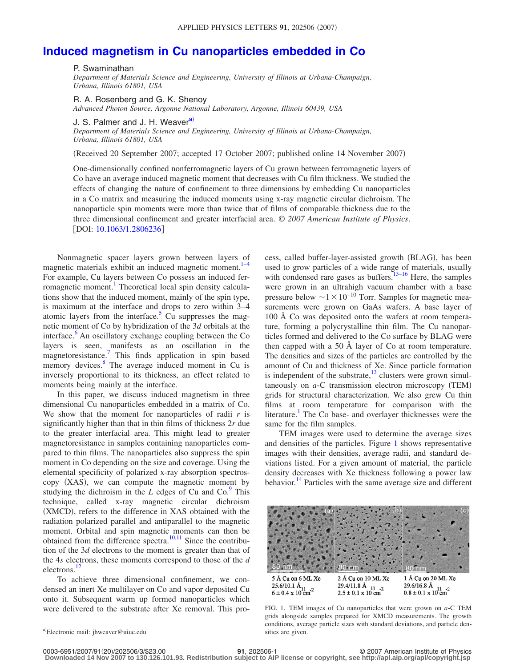## **[Induced magnetism in Cu nanoparticles embedded in Co](http://dx.doi.org/10.1063/1.2806236)**

## P. Swaminathan

*Department of Materials Science and Engineering, University of Illinois at Urbana-Champaign, Urbana, Illinois 61801, USA*

R. A. Rosenberg and G. K. Shenoy

*Advanced Photon Source, Argonne National Laboratory, Argonne, Illinois 60439, USA*

J. S. Palmer and J. H. Weaver<sup>a)</sup>

*Department of Materials Science and Engineering, University of Illinois at Urbana-Champaign, Urbana, Illinois 61801, USA*

Received 20 September 2007; accepted 17 October 2007; published online 14 November 2007-

One-dimensionally confined nonferromagnetic layers of Cu grown between ferromagnetic layers of Co have an average induced magnetic moment that decreases with Cu film thickness. We studied the effects of changing the nature of confinement to three dimensions by embedding Cu nanoparticles in a Co matrix and measuring the induced moments using x-ray magnetic circular dichroism. The nanoparticle spin moments were more than twice that of films of comparable thickness due to the three dimensional confinement and greater interfacial area. © *2007 American Institute of Physics*. [DOI: [10.1063/1.2806236](http://dx.doi.org/10.1063/1.2806236)]

Nonmagnetic spacer layers grown between layers of magnetic materials exhibit an induced magnetic moment. $1-4$  $1-4$ For example, Cu layers between Co possess an induced ferromagnetic moment.<sup>1</sup> Theoretical local spin density calculations show that the induced moment, mainly of the spin type, is maximum at the interface and drops to zero within 3–4 atomic layers from the interface.<sup>5</sup> Cu suppresses the magnetic moment of Co by hybridization of the 3*d* orbitals at the interface.<sup>6</sup> An oscillatory exchange coupling between the Co layers is seen, manifests as an oscillation in the magnetoresistance[.7](#page-2-4) This finds application in spin based memory devices.<sup>8</sup> The average induced moment in Cu is inversely proportional to its thickness, an effect related to moments being mainly at the interface.

In this paper, we discuss induced magnetism in three dimensional Cu nanoparticles embedded in a matrix of Co. We show that the moment for nanoparticles of radii *r* is significantly higher than that in thin films of thickness 2*r* due to the greater interfacial area. This might lead to greater magnetoresistance in samples containing nanoparticles compared to thin films. The nanoparticles also suppress the spin moment in Co depending on the size and coverage. Using the elemental specificity of polarized x-ray absorption spectroscopy (XAS), we can compute the magnetic moment by studying the dichroism in the  $L$  edges of Cu and Co. $\frac{9}{2}$  This technique, called x-ray magnetic circular dichroism (XMCD), refers to the difference in XAS obtained with the radiation polarized parallel and antiparallel to the magnetic moment. Orbital and spin magnetic moments can then be obtained from the difference spectra.<sup>10[,11](#page-2-8)</sup> Since the contribution of the 3*d* electrons to the moment is greater than that of the 4*s* electrons, these moments correspond to those of the *d* electrons.<sup>12</sup>

To achieve three dimensional confinement, we condensed an inert Xe multilayer on Co and vapor deposited Cu onto it. Subsequent warm up formed nanoparticles which were delivered to the substrate after Xe removal. This pro-

cess, called buffer-layer-assisted growth (BLAG), has been used to grow particles of a wide range of materials, usually with condensed rare gases as buffers.  $13-16$  $13-16$  Here, the samples were grown in an ultrahigh vacuum chamber with a base pressure below  $\sim$ 1×10<sup>−10</sup> Torr. Samples for magnetic measurements were grown on GaAs wafers. A base layer of 100 Å Co was deposited onto the wafers at room temperature, forming a polycrystalline thin film. The Cu nanoparticles formed and delivered to the Co surface by BLAG were then capped with a 50 Å layer of Co at room temperature. The densities and sizes of the particles are controlled by the amount of Cu and thickness of Xe. Since particle formation is independent of the substrate, $13$  clusters were grown simultaneously on  $a$ -C transmission electron microscopy (TEM) grids for structural characterization. We also grew Cu thin films at room temperature for comparison with the literature.<sup>1</sup> The Co base- and overlayer thicknesses were the same for the film samples.

TEM images were used to determine the average sizes and densities of the particles. Figure [1](#page-0-1) shows representative images with their densities, average radii, and standard deviations listed. For a given amount of material, the particle density decreases with Xe thickness following a power law behavior.<sup>14</sup> Particles with the same average size and different

<span id="page-0-1"></span>

FIG. 1. TEM images of Cu nanoparticles that were grown on *a*-C TEM grids alongside samples prepared for XMCD measurements. The growth conditions, average particle sizes with standard deviations, and particle densities are given.

**Downloaded 14 Nov 2007 to 130.126.101.93. Redistribution subject to AIP license or copyright, see http://apl.aip.org/apl/copyright.jsp**

<span id="page-0-0"></span>a)<br>Electronic mail: jhweaver@uiuc.edu

**<sup>201</sup>**, 202506-1 © 2007 American Institute of Physics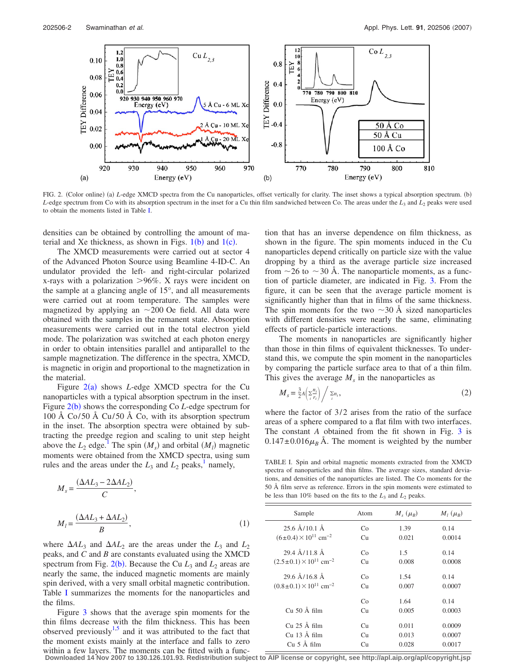<span id="page-1-0"></span>

FIG. 2. (Color online) (a) *L*-edge XMCD spectra from the Cu nanoparticles, offset vertically for clarity. The inset shows a typical absorption spectrum. (b) *L*-edge spectrum from Co with its absorption spectrum in the inset for a Cu thin film sandwiched between Co. The areas under the  $L_3$  and  $L_2$  peaks were used to obtain the moments listed in Table [I.](#page-1-1)

densities can be obtained by controlling the amount of material and Xe thickness, as shown in Figs.  $1(b)$  $1(b)$  and  $1(c)$ .

The XMCD measurements were carried out at sector 4 of the Advanced Photon Source using Beamline 4-ID-C. An undulator provided the left- and right-circular polarized x-rays with a polarization >96%. X rays were incident on the sample at a glancing angle of 15°, and all measurements were carried out at room temperature. The samples were magnetized by applying an  $\sim$  200 Oe field. All data were obtained with the samples in the remanent state. Absorption measurements were carried out in the total electron yield mode. The polarization was switched at each photon energy in order to obtain intensities parallel and antiparallel to the sample magnetization. The difference in the spectra, XMCD, is magnetic in origin and proportional to the magnetization in the material.

Figure  $2(a)$  $2(a)$  shows *L*-edge XMCD spectra for the Cu nanoparticles with a typical absorption spectrum in the inset. Figure [2](#page-1-0)(b) shows the corresponding Co *L*-edge spectrum for 100 Å Co/50 Å Cu/50 Å Co, with its absorption spectrum in the inset. The absorption spectra were obtained by subtracting the preedge region and scaling to unit step height above the  $L_2$  edge.<sup>1</sup> The spin  $(M_s)$  and orbital  $(M_l)$  magnetic moments were obtained from the XMCD spectra, using sum rules and the areas under the  $L_3$  and  $L_2$  peaks,<sup>1</sup> namely,

$$
M_s = \frac{(\Delta A L_3 - 2\Delta A L_2)}{C},
$$
  

$$
M_l = \frac{(\Delta A L_3 + \Delta A L_2)}{B},
$$
 (1)

where  $\Delta A L_3$  and  $\Delta A L_2$  are the areas under the  $L_3$  and  $L_2$ peaks, and *C* and *B* are constants evaluated using the XMCD spectrum from Fig.  $2(b)$  $2(b)$ . Because the Cu  $L_3$  and  $L_2$  areas are nearly the same, the induced magnetic moments are mainly spin derived, with a very small orbital magnetic contribution. Table [I](#page-1-1) summarizes the moments for the nanoparticles and the films.

Figure [3](#page-2-13) shows that the average spin moments for the thin films decrease with the film thickness. This has been observed previously<sup>1,[5](#page-2-2)</sup> and it was attributed to the fact that the moment exists mainly at the interface and falls to zero within a few layers. The moments can be fitted with a function that has an inverse dependence on film thickness, as shown in the figure. The spin moments induced in the Cu nanoparticles depend critically on particle size with the value dropping by a third as the average particle size increased from  $\sim$  26 to  $\sim$  30 Å. The nanoparticle moments, as a function of particle diameter, are indicated in Fig. [3.](#page-2-13) From the figure, it can be seen that the average particle moment is significantly higher than that in films of the same thickness. The spin moments for the two  $\sim$ 30 Å sized nanoparticles with different densities were nearly the same, eliminating effects of particle-particle interactions.

The moments in nanoparticles are significantly higher than those in thin films of equivalent thicknesses. To understand this, we compute the spin moment in the nanoparticles by comparing the particle surface area to that of a thin film. This gives the average  $M<sub>s</sub>$  in the nanoparticles as

$$
M_s = \frac{3}{2}A\left(\frac{\sum n_i}{n_i}\right) / \sum_{i} n_i,
$$
\n(2)

where the factor of  $3/2$  arises from the ratio of the surface areas of a sphere compared to a flat film with two interfaces. The constant *A* obtained from the fit shown in Fig. [3](#page-2-13) is  $0.147 \pm 0.016 \mu_B$  Å. The moment is weighted by the number

<span id="page-1-1"></span>TABLE I. Spin and orbital magnetic moments extracted from the XMCD spectra of nanoparticles and thin films. The average sizes, standard deviations, and densities of the nanoparticles are listed. The Co moments for the 50 Å film serve as reference. Errors in the spin moments were estimated to be less than 10% based on the fits to the  $L_3$  and  $L_2$  peaks.

| Sample                                      | Atom | $M_{\rm s}(\mu_{\rm R})$ | $M_l(\mu_R)$ |
|---------------------------------------------|------|--------------------------|--------------|
| $256$ Å/10.1 Å                              | Co   | 1.39                     | 0.14         |
| $(6\pm0.4)\times10^{11}$ cm <sup>-2</sup>   | Сu   | 0.021                    | 0.0014       |
| $294$ $\AA$ / 11 8 $\AA$                    | Co   | 1.5                      | 0.14         |
| $(2.5\pm0.1)\times10^{11}$ cm <sup>-2</sup> | Сu   | 0.008                    | 0.0008       |
| $296$ Å $/168$ Å                            | Co   | 1.54                     | 0.14         |
| $(0.8\pm0.1)\times10^{11}$ cm <sup>-2</sup> | Сu   | 0.007                    | 0.0007       |
|                                             | Co   | 1.64                     | 0.14         |
| $Cu$ 50 Å film                              | Cu   | 0.005                    | 0.0003       |
| Cu 25 Å film                                | Cu   | 0.011                    | 0.0009       |
| Cu 13 Å film                                | Cu   | 0.013                    | 0.0007       |
| $Cu5$ Å film                                | Сu   | 0.028                    | 0.0017       |

**Downloaded 14 Nov 2007 to 130.126.101.93. Redistribution subject to AIP license or copyright, see http://apl.aip.org/apl/copyright.jsp**